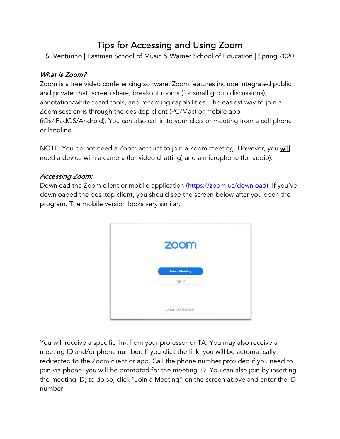# Tips for Accessing and Using Zoom

S. Venturino | Eastman School of Music & Warner School of Education | Spring 2020

## What is Zoom?

Zoom is a free video conferencing software. Zoom features include integrated public and private chat, screen share, breakout rooms (for small group discussions), annotation/whiteboard tools, and recording capabilities. The easiest way to join a Zoom session is through the desktop client (PC/Mac) or mobile app (iOs/iPadOS/Android). You can also call in to your class or meeting from a cell phone or landline.

NOTE: You do not need a Zoom account to join a Zoom meeting. However, you will need a device with a camera (for video chatting) and a microphone (for audio).

## Accessing Zoom:

Download the Zoom client or mobile application (https://zoom.us/download). If you've downloaded the desktop client, you should see the screen below after you open the program. The mobile version looks very similar.



You will receive a specific link from your professor or TA. You may also receive a meeting ID and/or phone number. If you click the link, you will be automatically redirected to the Zoom client or app. Call the phone number provided if you need to join via phone; you will be prompted for the meeting ID. You can also join by inserting the meeting ID; to do so, click "Join a Meeting" on the screen above and enter the ID number.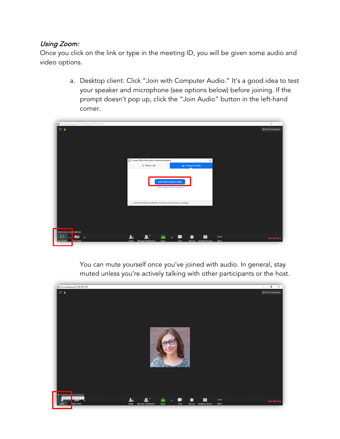### Using Zoom:

Once you click on the link or type in the meeting ID, you will be given some audio and video options.

> a. Desktop client: Click "Join with Computer Audio." It's a good idea to test your speaker and microphone (see options below) before joining. If the prompt doesn't pop up, click the "Join Audio" button in the left-hand corner.

| Zoom Participant ID: 27 Meeting ID: 720-273-270<br>$\odot$ $\blacksquare$ | Choose ONE of the audio conference options                                                       | $\times$                                                                               |                                 | $\Box$<br>$\times$<br>$\overline{\phantom{a}}$<br>응 Enter Full Screen |
|---------------------------------------------------------------------------|--------------------------------------------------------------------------------------------------|----------------------------------------------------------------------------------------|---------------------------------|-----------------------------------------------------------------------|
|                                                                           | <sup>e</sup> Phone Call<br><b>Join with Computer Audio</b><br><b>Test speaker and microphone</b> | $\Box$ Computer Audio                                                                  |                                 |                                                                       |
| STEPHANIE VE ITURINO                                                      | Automatically join audio by computer when joining a meeting                                      |                                                                                        |                                 |                                                                       |
| ☑<br>п.<br>$\sim$<br>$\sim$<br><b>Start Video</b><br><b>Join Audio</b>    | a<br>$\mathbf{R}^+$<br>Xo<br><b>Manage Participants</b><br>Invite<br><b>Share</b>                | Æ<br>$\bullet$<br>☎<br>$\widehat{\phantom{m}}$<br>Chat<br><b>Record</b> Breakout Rooms | $\bullet\bullet\bullet$<br>More | <b>End Meeting</b>                                                    |

You can mute yourself once you've joined with audio. In general, stay muted unless you're actively talking with other participants or the host.

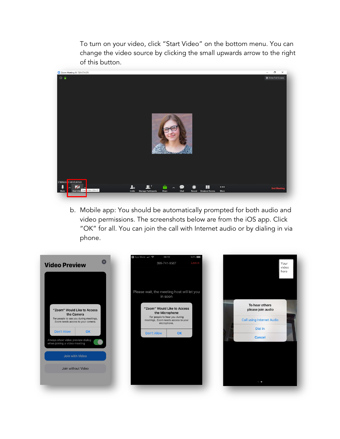To turn on your video, click "Start Video" on the bottom menu. You can change the video source by clicking the small upwards arrow to the right of this button.



b. Mobile app: You should be automatically prompted for both audio and video permissions. The screenshots below are from the iOS app. Click "OK" for all. You can join the call with Internet audio or by dialing in via phone.